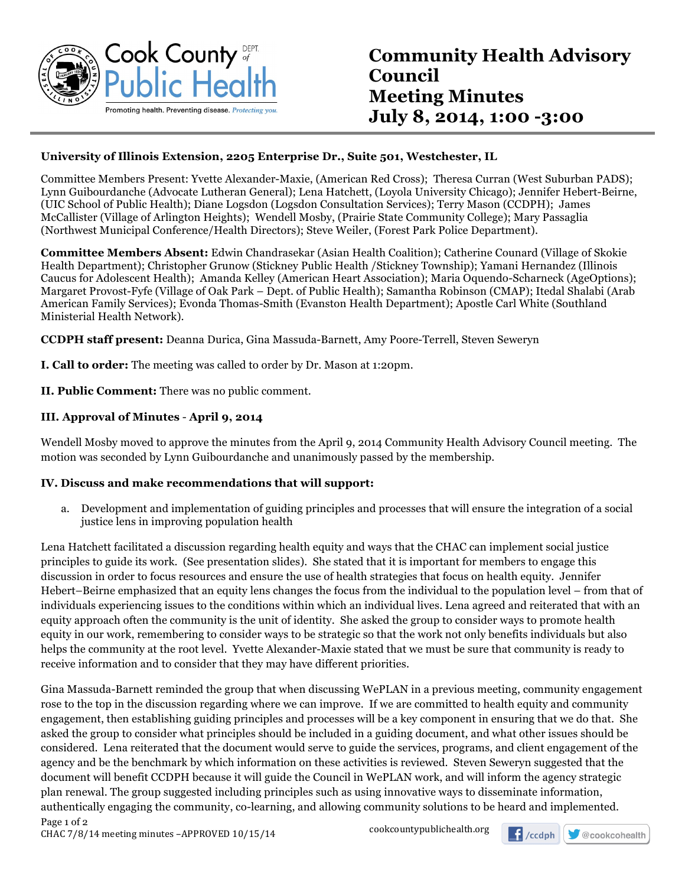

#### **University of Illinois Extension, 2205 Enterprise Dr., Suite 501, Westchester, IL**

Committee Members Present: Yvette Alexander-Maxie, (American Red Cross); Theresa Curran (West Suburban PADS); Lynn Guibourdanche (Advocate Lutheran General); Lena Hatchett, (Loyola University Chicago); Jennifer Hebert-Beirne, (UIC School of Public Health); Diane Logsdon (Logsdon Consultation Services); Terry Mason (CCDPH); James McCallister (Village of Arlington Heights); Wendell Mosby, (Prairie State Community College); Mary Passaglia (Northwest Municipal Conference/Health Directors); Steve Weiler, (Forest Park Police Department).

**Committee Members Absent:** Edwin Chandrasekar (Asian Health Coalition); Catherine Counard (Village of Skokie Health Department); Christopher Grunow (Stickney Public Health /Stickney Township); Yamani Hernandez (Illinois Caucus for Adolescent Health); Amanda Kelley (American Heart Association); Maria Oquendo-Scharneck (AgeOptions); Margaret Provost-Fyfe (Village of Oak Park – Dept. of Public Health); Samantha Robinson (CMAP); Itedal Shalabi (Arab American Family Services); Evonda Thomas-Smith (Evanston Health Department); Apostle Carl White (Southland Ministerial Health Network).

**CCDPH staff present:** Deanna Durica, Gina Massuda-Barnett, Amy Poore-Terrell, Steven Seweryn

**I. Call to order:** The meeting was called to order by Dr. Mason at 1:20pm.

**II. Public Comment:** There was no public comment.

#### **III. Approval of Minutes** - **April 9, 2014**

Wendell Mosby moved to approve the minutes from the April 9, 2014 Community Health Advisory Council meeting. The motion was seconded by Lynn Guibourdanche and unanimously passed by the membership.

#### **IV. Discuss and make recommendations that will support:**

a. Development and implementation of guiding principles and processes that will ensure the integration of a social justice lens in improving population health

Lena Hatchett facilitated a discussion regarding health equity and ways that the CHAC can implement social justice principles to guide its work. (See presentation slides). She stated that it is important for members to engage this discussion in order to focus resources and ensure the use of health strategies that focus on health equity. Jennifer Hebert–Beirne emphasized that an equity lens changes the focus from the individual to the population level – from that of individuals experiencing issues to the conditions within which an individual lives. Lena agreed and reiterated that with an equity approach often the community is the unit of identity. She asked the group to consider ways to promote health equity in our work, remembering to consider ways to be strategic so that the work not only benefits individuals but also helps the community at the root level. Yvette Alexander-Maxie stated that we must be sure that community is ready to receive information and to consider that they may have different priorities.

Page 1 of 2 Gina Massuda-Barnett reminded the group that when discussing WePLAN in a previous meeting, community engagement rose to the top in the discussion regarding where we can improve. If we are committed to health equity and community engagement, then establishing guiding principles and processes will be a key component in ensuring that we do that. She asked the group to consider what principles should be included in a guiding document, and what other issues should be considered. Lena reiterated that the document would serve to guide the services, programs, and client engagement of the agency and be the benchmark by which information on these activities is reviewed. Steven Seweryn suggested that the document will benefit CCDPH because it will guide the Council in WePLAN work, and will inform the agency strategic plan renewal. The group suggested including principles such as using innovative ways to disseminate information, authentically engaging the community, co-learning, and allowing community solutions to be heard and implemented.

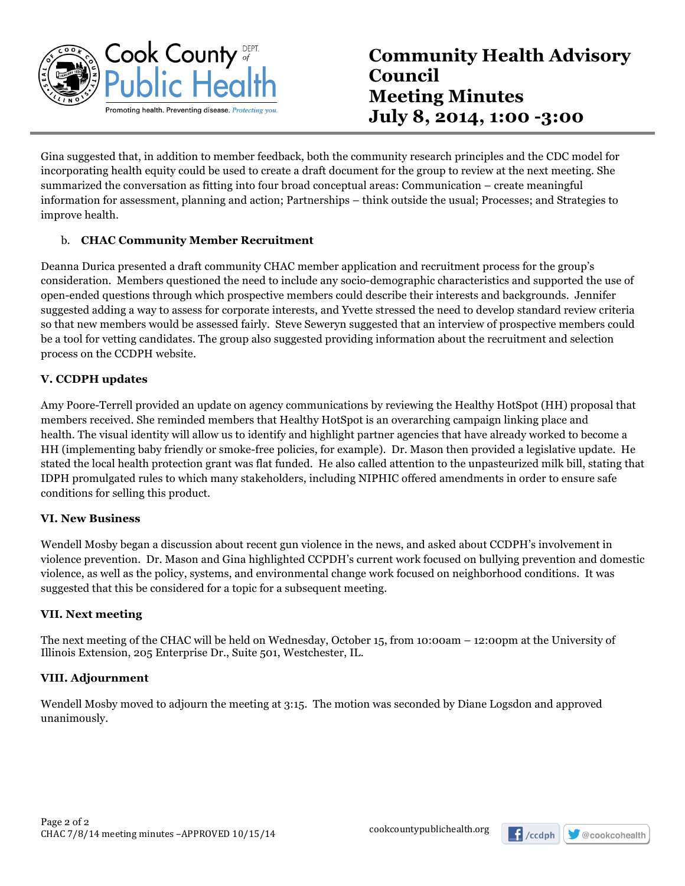

Gina suggested that, in addition to member feedback, both the community research principles and the CDC model for incorporating health equity could be used to create a draft document for the group to review at the next meeting. She summarized the conversation as fitting into four broad conceptual areas: Communication – create meaningful information for assessment, planning and action; Partnerships – think outside the usual; Processes; and Strategies to improve health.

#### b. **CHAC Community Member Recruitment**

Deanna Durica presented a draft community CHAC member application and recruitment process for the group's consideration. Members questioned the need to include any socio-demographic characteristics and supported the use of open-ended questions through which prospective members could describe their interests and backgrounds. Jennifer suggested adding a way to assess for corporate interests, and Yvette stressed the need to develop standard review criteria so that new members would be assessed fairly. Steve Seweryn suggested that an interview of prospective members could be a tool for vetting candidates. The group also suggested providing information about the recruitment and selection process on the CCDPH website.

#### **V. CCDPH updates**

Amy Poore-Terrell provided an update on agency communications by reviewing the Healthy HotSpot (HH) proposal that members received. She reminded members that Healthy HotSpot is an overarching campaign linking place and health. The visual identity will allow us to identify and highlight partner agencies that have already worked to become a HH (implementing baby friendly or smoke-free policies, for example). Dr. Mason then provided a legislative update. He stated the local health protection grant was flat funded. He also called attention to the unpasteurized milk bill, stating that IDPH promulgated rules to which many stakeholders, including NIPHIC offered amendments in order to ensure safe conditions for selling this product.

#### **VI. New Business**

Wendell Mosby began a discussion about recent gun violence in the news, and asked about CCDPH's involvement in violence prevention. Dr. Mason and Gina highlighted CCPDH's current work focused on bullying prevention and domestic violence, as well as the policy, systems, and environmental change work focused on neighborhood conditions. It was suggested that this be considered for a topic for a subsequent meeting.

#### **VII. Next meeting**

The next meeting of the CHAC will be held on Wednesday, October 15, from 10:00am – 12:00pm at the University of Illinois Extension, 205 Enterprise Dr., Suite 501, Westchester, IL.

#### **VIII. Adjournment**

Wendell Mosby moved to adjourn the meeting at 3:15. The motion was seconded by Diane Logsdon and approved unanimously.

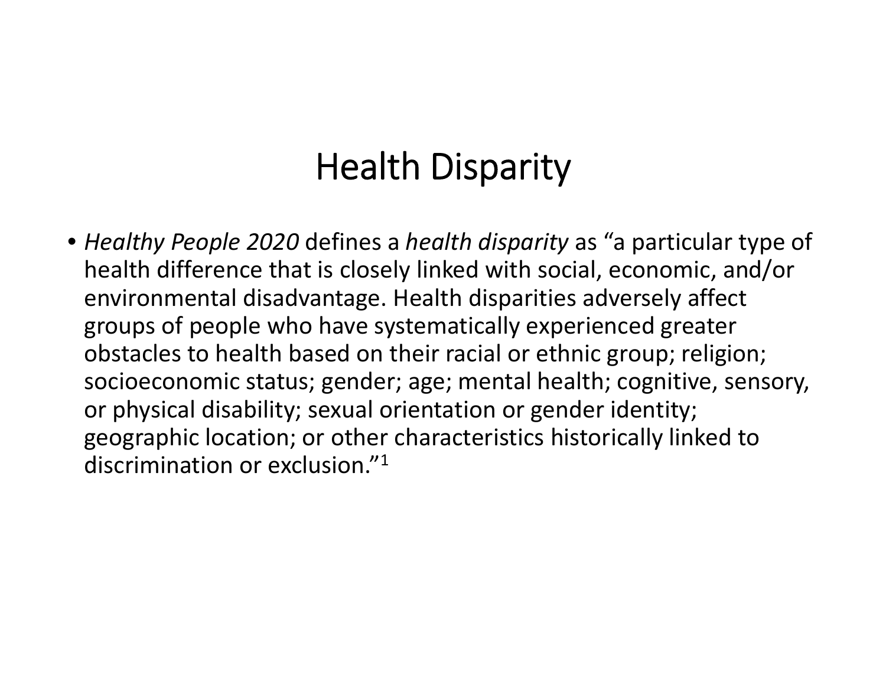# Health Disparity

• *Healthy People 2020* defines <sup>a</sup> *health disparity* as "a particular type of health difference that is closely linked with social, economic, and/or environmental disadvantage. Health disparities adversely affect groups of people who have systematically experienced greater obstacles to health based on their racial or ethnic group; religion; socioeconomic status; gender; age; mental health; cognitive, sensory, or physical disability; sexual orientation or gender identity; geographic location; or other characteristics historically linked to discrimination or exclusion." $^{\rm 1}$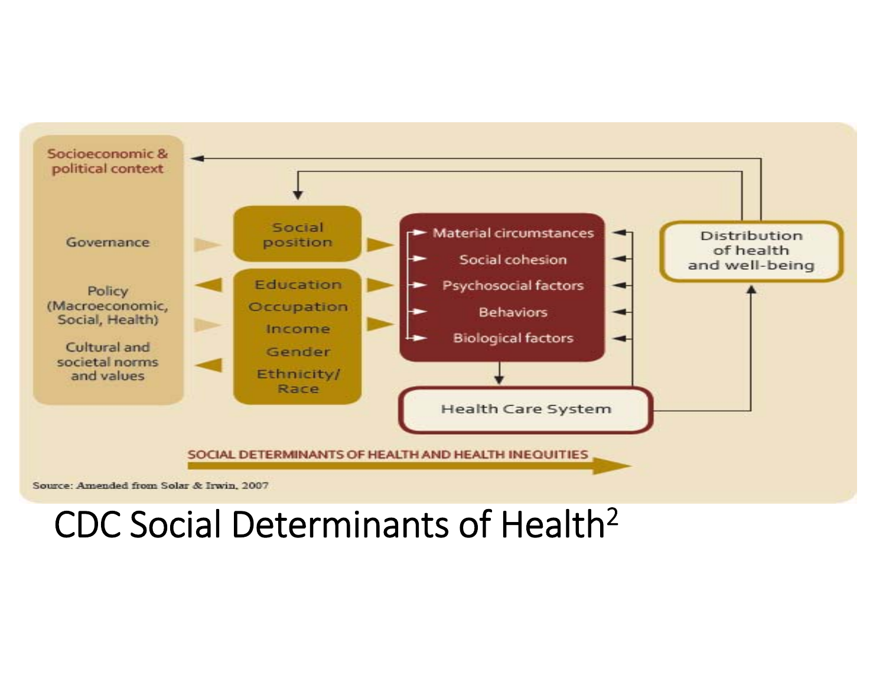

### CDC Social Determinants of Health2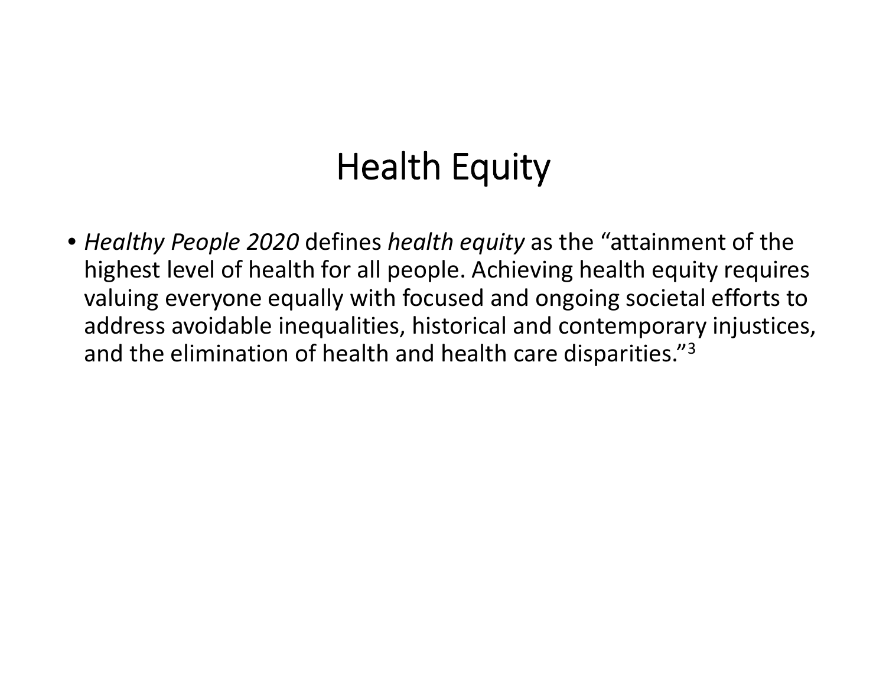# Health Equity

• *Healthy People 2020* defines *health equity* as the "attainment of the highest level of health for all people. Achieving health equity requires valuing everyone equally with focused and ongoing societal efforts to address avoidable inequalities, historical and contemporary injustices, and the elimination of health and health care disparities." $^3$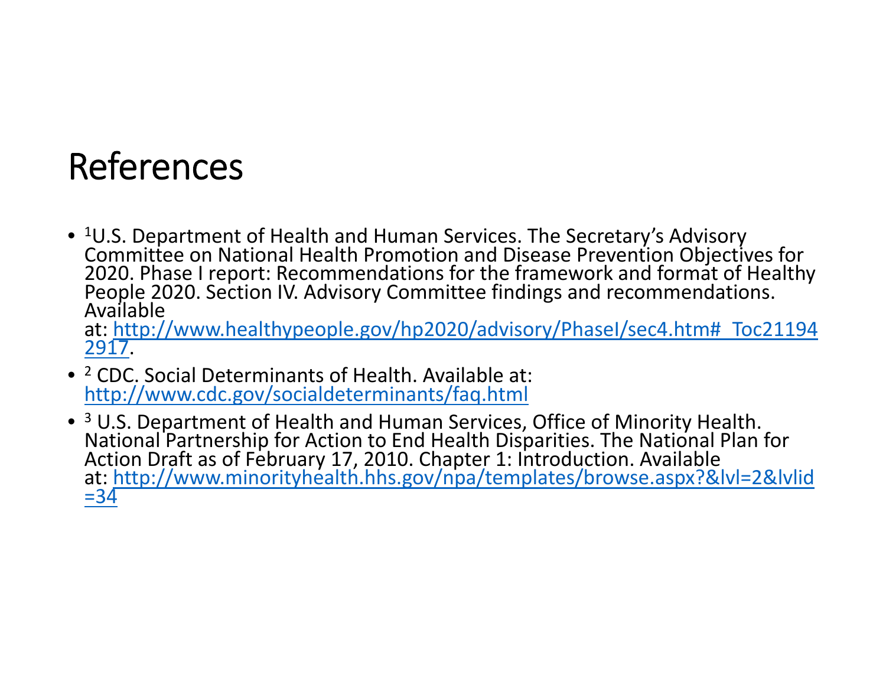## References

 $\bullet$   $^{1}$ U.S. Department of Health and Human Services. The Secretary's Advisory Committee on National Health Promotion and Disease Prevention Objectives for 2020. Phase I report: Recommendations for the framework and format of Healthy<br>People 2020. Section IV. Advisory Committee findings and recommendations.<br>Available

at: http://www.healthypeople.gov/hp2020/advisory/PhaseI/sec4.htm#\_Toc21194 2917.

- <sup>2</sup> CDC. Social Determinants of Health. Available at: http://www.cdc.gov/socialdeterminants/faq.html
- <sup>3</sup> U.S. Department of Health and Human Services, Office of Minority Health. <sup>3</sup> U.S. Department of Health and Human Services, Office of Minority Health.<br>National Partnership for Action to End Health Disparities. The National Plan for Action Draft as of February 17, 2010. Chapter 1: Introduction. Available at: http://www.minorityhealth.hhs.gov/npa/templates/browse.aspx?&lvl=2&lvlid  $= 34$